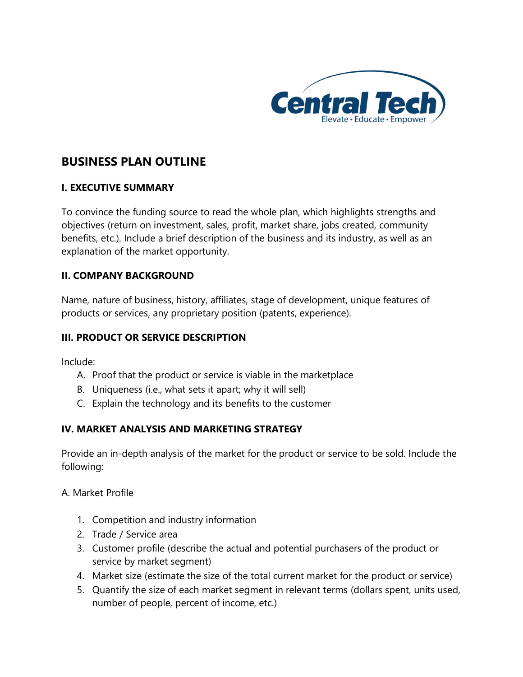

# **BUSINESS PLAN OUTLINE**

## **I. EXECUTIVE SUMMARY**

To convince the funding source to read the whole plan, which highlights strengths and objectives (return on investment, sales, profit, market share, jobs created, community benefits, etc.). Include a brief description of the business and its industry, as well as an explanation of the market opportunity.

## **II. COMPANY BACKGROUND**

Name, nature of business, history, affiliates, stage of development, unique features of products or services, any proprietary position (patents, experience).

## **III. PRODUCT OR SERVICE DESCRIPTION**

Include:

- A. Proof that the product or service is viable in the marketplace
- B. Uniqueness (i.e., what sets it apart; why it will sell)
- C. Explain the technology and its benefits to the customer

## **IV. MARKET ANALYSIS AND MARKETING STRATEGY**

Provide an in-depth analysis of the market for the product or service to be sold. Include the following:

A. Market Profile

- 1. Competition and industry information
- 2. Trade / Service area
- 3. Customer profile (describe the actual and potential purchasers of the product or service by market segment)
- 4. Market size (estimate the size of the total current market for the product or service)
- 5. Quantify the size of each market segment in relevant terms (dollars spent, units used, number of people, percent of income, etc.)